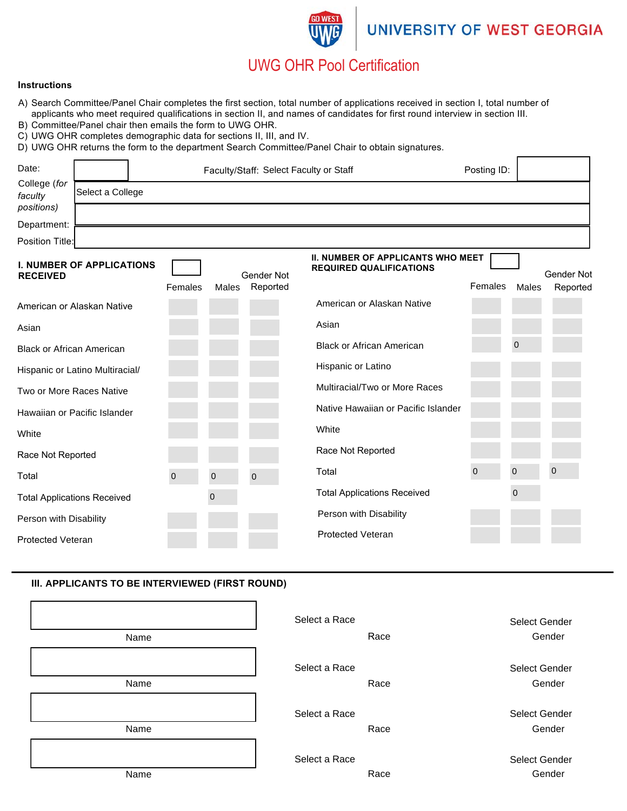# **UNIVERSITY OF WEST GEORGIA**

# UWG OHR Pool Certification

#### **Instructions**

- A) Search Committee/Panel Chair completes the first section, total number of applications received in section I, total number of applicants who meet required qualifications in section II, and names of candidates for first round interview in section III.
- B) Committee/Panel chair then emails the form to UWG OHR.
- C) UWG OHR completes demographic data for sections II, III, and IV.
- D) UWG OHR returns the form to the department Search Committee/Panel Chair to obtain signatures.

| Date:                                               |                  | Faculty/Staff: Select Faculty or Staff |            |                                                                            | Posting ID: |                   |
|-----------------------------------------------------|------------------|----------------------------------------|------------|----------------------------------------------------------------------------|-------------|-------------------|
| College (for<br>faculty                             | Select a College |                                        |            |                                                                            |             |                   |
| positions)                                          |                  |                                        |            |                                                                            |             |                   |
| Department:                                         |                  |                                        |            |                                                                            |             |                   |
| Position Title:                                     |                  |                                        |            |                                                                            |             |                   |
| <b>I. NUMBER OF APPLICATIONS</b><br><b>RECEIVED</b> |                  |                                        | Gender Not | <b>II. NUMBER OF APPLICANTS WHO MEET</b><br><b>REQUIRED QUALIFICATIONS</b> |             | <b>Gender Not</b> |

|                                    | Females     | Males          | Reported    |                                     | Females     | Males          | Reported    |
|------------------------------------|-------------|----------------|-------------|-------------------------------------|-------------|----------------|-------------|
| American or Alaskan Native         |             |                |             | American or Alaskan Native          |             |                |             |
| Asian                              |             |                |             | Asian                               |             |                |             |
| <b>Black or African American</b>   |             |                |             | <b>Black or African American</b>    |             | 0              |             |
| Hispanic or Latino Multiracial/    |             |                |             | Hispanic or Latino                  |             |                |             |
| Two or More Races Native           |             |                |             | Multiracial/Two or More Races       |             |                |             |
| Hawaiian or Pacific Islander       |             |                |             | Native Hawaiian or Pacific Islander |             |                |             |
| White                              |             |                |             | White                               |             |                |             |
| Race Not Reported                  |             |                |             | Race Not Reported                   |             |                |             |
| Total                              | $\mathbf 0$ | $\overline{0}$ | $\mathbf 0$ | Total                               | $\mathbf 0$ | $\mathbf 0$    | $\mathbf 0$ |
| <b>Total Applications Received</b> |             | $\mathbf 0$    |             | <b>Total Applications Received</b>  |             | $\overline{0}$ |             |
| Person with Disability             |             |                |             | Person with Disability              |             |                |             |
| <b>Protected Veteran</b>           |             |                |             | <b>Protected Veteran</b>            |             |                |             |

### **III. APPLICANTS TO BE INTERVIEWED (FIRST ROUND)**

| Name | Select a Race<br>Race | Select Gender<br>Gender |
|------|-----------------------|-------------------------|
| Name | Select a Race<br>Race | Select Gender<br>Gender |
| Name | Select a Race<br>Race | Select Gender<br>Gender |
| Name | Select a Race<br>Race | Select Gender<br>Gender |